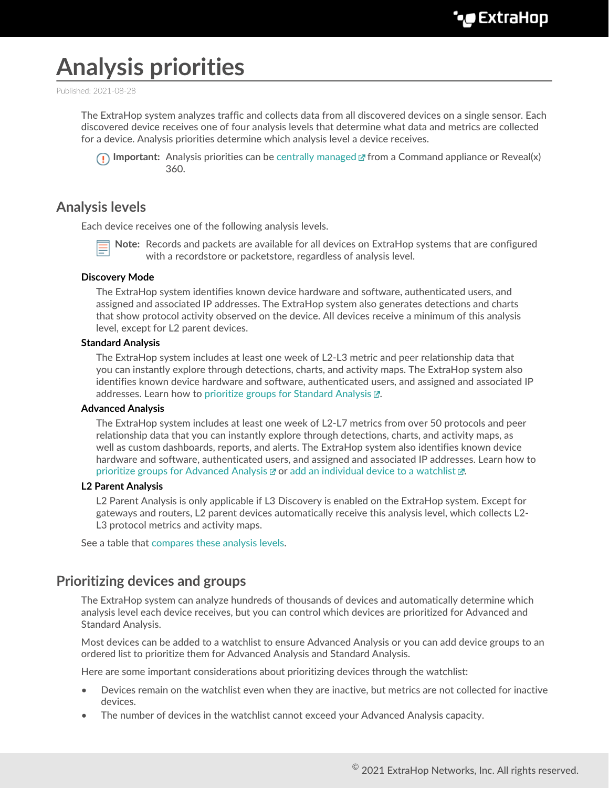# **Analysis priorities**

Published: 2021-08-28

The ExtraHop system analyzes traffic and collects data from all discovered devices on a single sensor. Each discovered device receives one of four analysis levels that determine what data and metrics are collected for a device. Analysis priorities determine which analysis level a device receives.



**Important:** Analysis priorities can be [centrally managed](https://docs.extrahop.com/8.4/transfer-priority-management) **F** from a Command appliance or Reveal(x) 360.

## **Analysis levels**

Each device receives one of the following analysis levels.

**Note:** Records and packets are available for all devices on ExtraHop systems that are configured with a recordstore or packetstore, regardless of analysis level.

#### **Discovery Mode**

The ExtraHop system identifies known device hardware and software, authenticated users, and assigned and associated IP addresses. The ExtraHop system also generates detections and charts that show protocol activity observed on the device. All devices receive a minimum of this analysis level, except for L2 parent devices.

#### **Standard Analysis**

The ExtraHop system includes at least one week of L2-L3 metric and peer relationship data that you can instantly explore through detections, charts, and activity maps. The ExtraHop system also identifies known device hardware and software, authenticated users, and assigned and associated IP addresses. Learn how to [prioritize groups for Standard Analysis](https://docs.extrahop.com/8.4/analysis-priorities-standard) ...

#### **Advanced Analysis**

The ExtraHop system includes at least one week of L2-L7 metrics from over 50 protocols and peer relationship data that you can instantly explore through detections, charts, and activity maps, as well as custom dashboards, reports, and alerts. The ExtraHop system also identifies known device hardware and software, authenticated users, and assigned and associated IP addresses. Learn how to [prioritize groups for Advanced Analysis](https://docs.extrahop.com/8.4/analysis-priorities-advanced)  $\square$  or add an individual device to a watchlist  $\square$ .

#### **L2 Parent Analysis**

L2 Parent Analysis is only applicable if L3 Discovery is enabled on the ExtraHop system. Except for gateways and routers, L2 parent devices automatically receive this analysis level, which collects L2- L3 protocol metrics and activity maps.

See a table that [compares these analysis levels.](#page-1-0)

## **Prioritizing devices and groups**

The ExtraHop system can analyze hundreds of thousands of devices and automatically determine which analysis level each device receives, but you can control which devices are prioritized for Advanced and Standard Analysis.

Most devices can be added to a watchlist to ensure Advanced Analysis or you can add device groups to an ordered list to prioritize them for Advanced Analysis and Standard Analysis.

Here are some important considerations about prioritizing devices through the watchlist:

- Devices remain on the watchlist even when they are inactive, but metrics are not collected for inactive devices.
- The number of devices in the watchlist cannot exceed your Advanced Analysis capacity.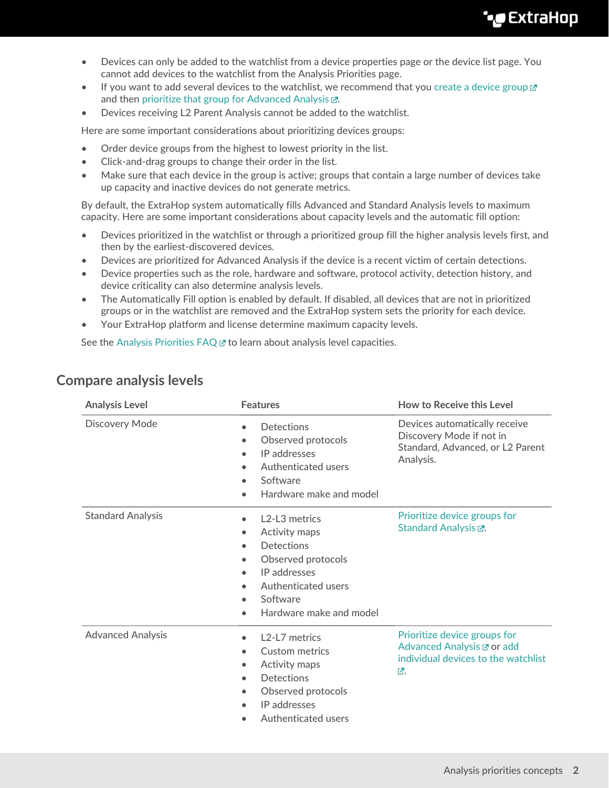- Devices can only be added to the watchlist from a device properties page or the device list page. You cannot add devices to the watchlist from the Analysis Priorities page.
- If you want to add several devices to the watchlist, we recommend that you [create a device group](https://docs.extrahop.com/8.4/create-device-group)  $\mathbb{Z}$ and then prioritize that group for Advanced Analysis  $\mathbb{Z}$ .
- Devices receiving L2 Parent Analysis cannot be added to the watchlist.

Here are some important considerations about prioritizing devices groups:

- Order device groups from the highest to lowest priority in the list.
- Click-and-drag groups to change their order in the list.
- Make sure that each device in the group is active; groups that contain a large number of devices take up capacity and inactive devices do not generate metrics.

By default, the ExtraHop system automatically fills Advanced and Standard Analysis levels to maximum capacity. Here are some important considerations about capacity levels and the automatic fill option:

- Devices prioritized in the watchlist or through a prioritized group fill the higher analysis levels first, and then by the earliest-discovered devices.
- Devices are prioritized for Advanced Analysis if the device is a recent victim of certain detections.
- Device properties such as the role, hardware and software, protocol activity, detection history, and device criticality can also determine analysis levels.
- The Automatically Fill option is enabled by default. If disabled, all devices that are not in prioritized groups or in the watchlist are removed and the ExtraHop system sets the priority for each device.
- Your ExtraHop platform and license determine maximum capacity levels.

See the Analysis Priorities  $FAQ \nsubseteq$  to learn about analysis level capacities.

| <b>Analysis Level</b>    | <b>Features</b>                                                                                                                                                                                                                                                                          | How to Receive this Level                                                                                  |
|--------------------------|------------------------------------------------------------------------------------------------------------------------------------------------------------------------------------------------------------------------------------------------------------------------------------------|------------------------------------------------------------------------------------------------------------|
| <b>Discovery Mode</b>    | <b>Detections</b><br>$\bullet$<br>Observed protocols<br>$\bullet$<br>IP addresses<br>$\bullet$<br>Authenticated users<br>$\bullet$<br>Software<br>$\bullet$<br>Hardware make and model                                                                                                   | Devices automatically receive<br>Discovery Mode if not in<br>Standard, Advanced, or L2 Parent<br>Analysis. |
| <b>Standard Analysis</b> | L <sub>2</sub> -L <sub>3</sub> metrics<br>$\bullet$<br>Activity maps<br>$\bullet$<br><b>Detections</b><br>$\bullet$<br>Observed protocols<br>$\bullet$<br>IP addresses<br>$\bullet$<br>Authenticated users<br>$\bullet$<br>Software<br>$\bullet$<br>Hardware make and model<br>$\bullet$ | Prioritize device groups for<br>Standard Analysis E.                                                       |
| <b>Advanced Analysis</b> | L <sub>2</sub> -L <sub>7</sub> metrics<br>$\bullet$<br><b>Custom metrics</b><br>$\bullet$<br>Activity maps<br>$\bullet$<br><b>Detections</b><br>$\bullet$<br>Observed protocols<br>$\bullet$<br>IP addresses<br>$\bullet$<br>Authenticated users<br>$\bullet$                            | Prioritize device groups for<br>Advanced Analysis L'or add<br>individual devices to the watchlist<br>环.    |

### <span id="page-1-0"></span>**Compare analysis levels**